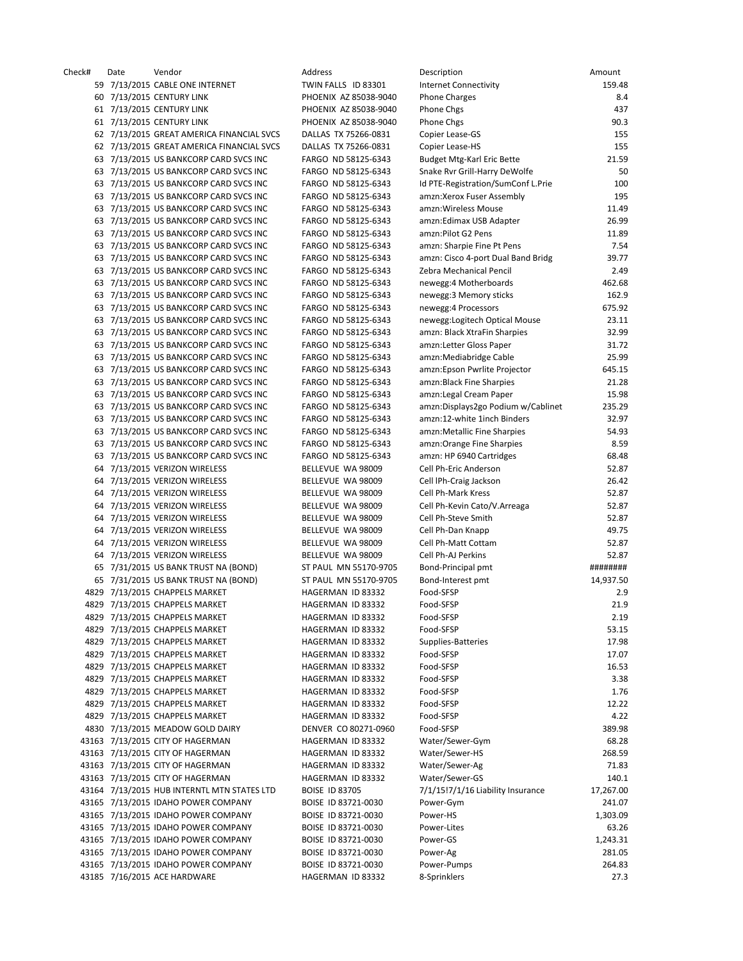| Check# | Date | Vendor                                      | Address               | Description                        | Amount    |
|--------|------|---------------------------------------------|-----------------------|------------------------------------|-----------|
|        |      | 59 7/13/2015 CABLE ONE INTERNET             | TWIN FALLS ID 83301   | <b>Internet Connectivity</b>       | 159.48    |
|        |      | 60 7/13/2015 CENTURY LINK                   | PHOENIX AZ 85038-9040 | <b>Phone Charges</b>               | 8.4       |
|        |      | 61 7/13/2015 CENTURY LINK                   | PHOENIX AZ 85038-9040 | Phone Chgs                         | 437       |
|        |      | 61 7/13/2015 CENTURY LINK                   | PHOENIX AZ 85038-9040 | Phone Chgs                         | 90.3      |
|        |      | 62 7/13/2015 GREAT AMERICA FINANCIAL SVCS   | DALLAS TX 75266-0831  | Copier Lease-GS                    | 155       |
|        |      | 62 7/13/2015 GREAT AMERICA FINANCIAL SVCS   |                       |                                    |           |
|        |      |                                             | DALLAS TX 75266-0831  | Copier Lease-HS                    | 155       |
|        |      | 63 7/13/2015 US BANKCORP CARD SVCS INC      | FARGO ND 58125-6343   | <b>Budget Mtg-Karl Eric Bette</b>  | 21.59     |
|        |      | 63 7/13/2015 US BANKCORP CARD SVCS INC      | FARGO ND 58125-6343   | Snake Rvr Grill-Harry DeWolfe      | 50        |
|        |      | 63 7/13/2015 US BANKCORP CARD SVCS INC      | FARGO ND 58125-6343   | Id PTE-Registration/SumConf L.Prie | 100       |
|        |      | 63 7/13/2015 US BANKCORP CARD SVCS INC      | FARGO ND 58125-6343   | amzn:Xerox Fuser Assembly          | 195       |
|        |      | 63 7/13/2015 US BANKCORP CARD SVCS INC      | FARGO ND 58125-6343   | amzn:Wireless Mouse                | 11.49     |
|        |      | 63 7/13/2015 US BANKCORP CARD SVCS INC      | FARGO ND 58125-6343   | amzn:Edimax USB Adapter            | 26.99     |
|        |      | 63 7/13/2015 US BANKCORP CARD SVCS INC      | FARGO ND 58125-6343   | amzn:Pilot G2 Pens                 | 11.89     |
|        |      | 63 7/13/2015 US BANKCORP CARD SVCS INC      | FARGO ND 58125-6343   | amzn: Sharpie Fine Pt Pens         | 7.54      |
|        |      |                                             |                       |                                    |           |
|        |      | 63 7/13/2015 US BANKCORP CARD SVCS INC      | FARGO ND 58125-6343   | amzn: Cisco 4-port Dual Band Bridg | 39.77     |
|        |      | 63 7/13/2015 US BANKCORP CARD SVCS INC      | FARGO ND 58125-6343   | Zebra Mechanical Pencil            | 2.49      |
|        |      | 63 7/13/2015 US BANKCORP CARD SVCS INC      | FARGO ND 58125-6343   | newegg: 4 Motherboards             | 462.68    |
|        |      | 63 7/13/2015 US BANKCORP CARD SVCS INC      | FARGO ND 58125-6343   | newegg: 3 Memory sticks            | 162.9     |
|        |      | 63 7/13/2015 US BANKCORP CARD SVCS INC      | FARGO ND 58125-6343   | newegg: 4 Processors               | 675.92    |
|        |      | 63 7/13/2015 US BANKCORP CARD SVCS INC      | FARGO ND 58125-6343   | newegg: Logitech Optical Mouse     | 23.11     |
|        |      | 63 7/13/2015 US BANKCORP CARD SVCS INC      | FARGO ND 58125-6343   | amzn: Black XtraFin Sharpies       | 32.99     |
|        |      | 63 7/13/2015 US BANKCORP CARD SVCS INC      | FARGO ND 58125-6343   | amzn:Letter Gloss Paper            | 31.72     |
|        |      | 63 7/13/2015 US BANKCORP CARD SVCS INC      | FARGO ND 58125-6343   | amzn:Mediabridge Cable             | 25.99     |
|        |      |                                             |                       |                                    |           |
|        |      | 63 7/13/2015 US BANKCORP CARD SVCS INC      | FARGO ND 58125-6343   | amzn:Epson Pwrlite Projector       | 645.15    |
|        |      | 63 7/13/2015 US BANKCORP CARD SVCS INC      | FARGO ND 58125-6343   | amzn:Black Fine Sharpies           | 21.28     |
|        |      | 63 7/13/2015 US BANKCORP CARD SVCS INC      | FARGO ND 58125-6343   | amzn:Legal Cream Paper             | 15.98     |
|        |      | 63 7/13/2015 US BANKCORP CARD SVCS INC      | FARGO ND 58125-6343   | amzn:Displays2go Podium w/Cablinet | 235.29    |
|        |      | 63 7/13/2015 US BANKCORP CARD SVCS INC      | FARGO ND 58125-6343   | amzn:12-white 1inch Binders        | 32.97     |
|        |      | 63 7/13/2015 US BANKCORP CARD SVCS INC      | FARGO ND 58125-6343   | amzn:Metallic Fine Sharpies        | 54.93     |
|        |      | 63 7/13/2015 US BANKCORP CARD SVCS INC      | FARGO ND 58125-6343   | amzn: Orange Fine Sharpies         | 8.59      |
|        |      | 63 7/13/2015 US BANKCORP CARD SVCS INC      | FARGO ND 58125-6343   | amzn: HP 6940 Cartridges           | 68.48     |
|        |      | 64 7/13/2015 VERIZON WIRELESS               | BELLEVUE WA 98009     | Cell Ph-Eric Anderson              | 52.87     |
|        |      |                                             |                       |                                    |           |
|        |      | 64 7/13/2015 VERIZON WIRELESS               | BELLEVUE WA 98009     | Cell IPh-Craig Jackson             | 26.42     |
|        |      | 64 7/13/2015 VERIZON WIRELESS               | BELLEVUE WA 98009     | <b>Cell Ph-Mark Kress</b>          | 52.87     |
|        |      | 64 7/13/2015 VERIZON WIRELESS               | BELLEVUE WA 98009     | Cell Ph-Kevin Cato/V.Arreaga       | 52.87     |
|        |      | 64 7/13/2015 VERIZON WIRELESS               | BELLEVUE WA 98009     | Cell Ph-Steve Smith                | 52.87     |
|        |      | 64 7/13/2015 VERIZON WIRELESS               | BELLEVUE WA 98009     | Cell Ph-Dan Knapp                  | 49.75     |
|        |      | 64 7/13/2015 VERIZON WIRELESS               | BELLEVUE WA 98009     | Cell Ph-Matt Cottam                | 52.87     |
|        |      | 64 7/13/2015 VERIZON WIRELESS               | BELLEVUE WA 98009     | Cell Ph-AJ Perkins                 | 52.87     |
|        |      | 65 7/31/2015 US BANK TRUST NA (BOND)        | ST PAUL MN 55170-9705 | Bond-Principal pmt                 | ########  |
|        |      | 65 7/31/2015 US BANK TRUST NA (BOND)        | ST PAUL MN 55170-9705 | Bond-Interest pmt                  | 14,937.50 |
|        |      |                                             |                       |                                    |           |
|        |      | 4829 7/13/2015 CHAPPELS MARKET              | HAGERMAN ID 83332     | Food-SFSP                          | 2.9       |
|        |      | 4829 7/13/2015 CHAPPELS MARKET              | HAGERMAN ID 83332     | Food-SFSP                          | 21.9      |
|        |      | 4829 7/13/2015 CHAPPELS MARKET              | HAGERMAN ID 83332     | Food-SFSP                          | 2.19      |
|        |      | 4829 7/13/2015 CHAPPELS MARKET              | HAGERMAN ID 83332     | Food-SFSP                          | 53.15     |
|        |      | 4829 7/13/2015 CHAPPELS MARKET              | HAGERMAN ID 83332     | Supplies-Batteries                 | 17.98     |
|        |      | 4829 7/13/2015 CHAPPELS MARKET              | HAGERMAN ID 83332     | Food-SFSP                          | 17.07     |
|        |      | 4829 7/13/2015 CHAPPELS MARKET              | HAGERMAN ID 83332     | Food-SFSP                          | 16.53     |
|        |      | 4829 7/13/2015 CHAPPELS MARKET              | HAGERMAN ID 83332     | Food-SFSP                          | 3.38      |
|        |      | 4829 7/13/2015 CHAPPELS MARKET              |                       |                                    | 1.76      |
|        |      |                                             | HAGERMAN ID 83332     | Food-SFSP                          |           |
|        |      | 4829 7/13/2015 CHAPPELS MARKET              | HAGERMAN ID 83332     | Food-SFSP                          | 12.22     |
|        |      | 4829 7/13/2015 CHAPPELS MARKET              | HAGERMAN ID 83332     | Food-SFSP                          | 4.22      |
|        |      | 4830 7/13/2015 MEADOW GOLD DAIRY            | DENVER CO 80271-0960  | Food-SFSP                          | 389.98    |
|        |      | 43163 7/13/2015 CITY OF HAGERMAN            | HAGERMAN ID 83332     | Water/Sewer-Gym                    | 68.28     |
|        |      | 43163 7/13/2015 CITY OF HAGERMAN            | HAGERMAN ID 83332     | Water/Sewer-HS                     | 268.59    |
|        |      | 43163 7/13/2015 CITY OF HAGERMAN            | HAGERMAN ID 83332     | Water/Sewer-Ag                     | 71.83     |
|        |      | 43163 7/13/2015 CITY OF HAGERMAN            | HAGERMAN ID 83332     | Water/Sewer-GS                     | 140.1     |
|        |      | 43164 7/13/2015 HUB INTERNTL MTN STATES LTD | <b>BOISE ID 83705</b> | 7/1/15!7/1/16 Liability Insurance  | 17,267.00 |
|        |      |                                             |                       |                                    |           |
|        |      | 43165 7/13/2015 IDAHO POWER COMPANY         | BOISE ID 83721-0030   | Power-Gym                          | 241.07    |
|        |      | 43165 7/13/2015 IDAHO POWER COMPANY         | BOISE ID 83721-0030   | Power-HS                           | 1,303.09  |
|        |      | 43165 7/13/2015 IDAHO POWER COMPANY         | BOISE ID 83721-0030   | Power-Lites                        | 63.26     |
|        |      | 43165 7/13/2015 IDAHO POWER COMPANY         | BOISE ID 83721-0030   | Power-GS                           | 1,243.31  |
|        |      | 43165 7/13/2015 IDAHO POWER COMPANY         | BOISE ID 83721-0030   | Power-Ag                           | 281.05    |
|        |      | 43165 7/13/2015 IDAHO POWER COMPANY         | BOISE ID 83721-0030   | Power-Pumps                        | 264.83    |
|        |      | 43185 7/16/2015 ACE HARDWARE                | HAGERMAN ID 83332     | 8-Sprinklers                       | 27.3      |
|        |      |                                             |                       |                                    |           |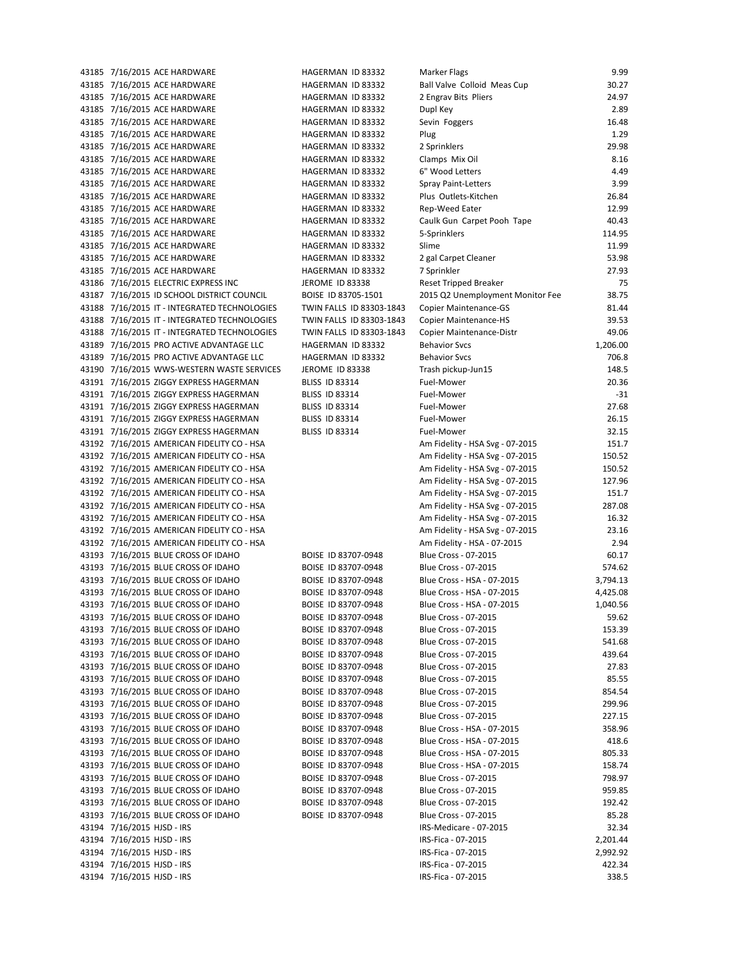7/16/2015 ACE HARDWARE HAGERMAN ID 83332 Marker Flags 9.99 7/16/2015 ACE HARDWARE HAGERMAN ID 83332 Ball Valve Colloid Meas Cup 30.27 7/16/2015 ACE HARDWARE HAGERMAN ID 83332 2 Engrav Bits Pliers 24.97 7/16/2015 ACE HARDWARE HAGERMAN ID 83332 Dupl Key 2.89 7/16/2015 ACE HARDWARE HAGERMAN ID 83332 Sevin Foggers 16.48 7/16/2015 ACE HARDWARE HAGERMAN ID 83332 Plug 1.29 7/16/2015 ACE HARDWARE HAGERMAN ID 83332 2 Sprinklers 29.98 7/16/2015 ACE HARDWARE HAGERMAN ID 83332 Clamps Mix Oil 8.16 7/16/2015 ACE HARDWARE HAGERMAN ID 83332 6" Wood Letters 4.49 7/16/2015 ACE HARDWARE HAGERMAN ID 83332 Spray Paint-Letters 3.99 7/16/2015 ACE HARDWARE HAGERMAN ID 83332 Plus Outlets-Kitchen 26.84 7/16/2015 ACE HARDWARE HAGERMAN ID 83332 Rep-Weed Eater 12.99 7/16/2015 ACE HARDWARE HAGERMAN ID 83332 Caulk Gun Carpet Pooh Tape 40.43 7/16/2015 ACE HARDWARE HAGERMAN ID 83332 5-Sprinklers 114.95 7/16/2015 ACE HARDWARE HAGERMAN ID 83332 Slime 11.99 7/16/2015 ACE HARDWARE HAGERMAN ID 83332 2 gal Carpet Cleaner 53.98 7/16/2015 ACE HARDWARE HAGERMAN ID 83332 7 Sprinkler 27.93 7/16/2015 ELECTRIC EXPRESS INC JEROME ID 83338 Reset Tripped Breaker 75 7/16/2015 ID SCHOOL DISTRICT COUNCIL BOISE ID 83705-1501 2015 Q2 Unemployment Monitor Fee 38.75 7/16/2015 IT - INTEGRATED TECHNOLOGIES TWIN FALLS ID 83303-1843 Copier Maintenance-GS 81.44 7/16/2015 IT - INTEGRATED TECHNOLOGIES TWIN FALLS ID 83303-1843 Copier Maintenance-HS 39.53 7/16/2015 IT - INTEGRATED TECHNOLOGIES TWIN FALLS ID 83303-1843 Copier Maintenance-Distr 49.06 7/16/2015 PRO ACTIVE ADVANTAGE LLC HAGERMAN ID 83332 Behavior Svcs 1,206.00 7/16/2015 PRO ACTIVE ADVANTAGE LLC HAGERMAN ID 83332 Behavior Svcs 706.8 7/16/2015 WWS-WESTERN WASTE SERVICES JEROME ID 83338 Trash pickup-Jun15 148.5 7/16/2015 ZIGGY EXPRESS HAGERMAN BLISS ID 83314 Fuel-Mower 20.36 43191 7/16/2015 ZIGGY EXPRESS HAGERMAN BLISS ID 83314 Fuel-Mower -31 7/16/2015 ZIGGY EXPRESS HAGERMAN BLISS ID 83314 Fuel-Mower 27.68 7/16/2015 ZIGGY EXPRESS HAGERMAN BLISS ID 83314 Fuel-Mower 26.15 7/16/2015 ZIGGY EXPRESS HAGERMAN BLISS ID 83314 Fuel-Mower 32.15 43192 7/16/2015 AMERICAN FIDELITY CO - HSA Am Fidelity - HSA Svg - 07-2015 151.7 43192 7/16/2015 AMERICAN FIDELITY CO - HSA AM AM FORELY AM Fidelity - HSA Svg - 07-2015 150.52 43192 7/16/2015 AMERICAN FIDELITY CO - HSA AMERICAN AMERICAN CO - HSA AMERICAN AMERICAN CO - HSA SVG - 07-2015 7/16/2015 AMERICAN FIDELITY CO - HSA Am Fidelity - HSA Svg - 07-2015 127.96 43192 7/16/2015 AMERICAN FIDELITY CO - HSA AM TO AM FIDELITY CO - HSA AM FIDELITY CO - HSA AM FIDELITY CO - HSA 43192 7/16/2015 AMERICAN FIDELITY CO - HSA AM AMERICAN AM Fidelity - HSA Svg - 07-2015 287.08 7/16/2015 AMERICAN FIDELITY CO - HSA Am Fidelity - HSA Svg - 07-2015 16.32 43192 7/16/2015 AMERICAN FIDELITY CO - HSA AMERICAN AMERICAN CO - HSA AMERICAN AMERICAN CO - HSA SVG - 07-2015 43192 7/16/2015 AMERICAN FIDELITY CO - HSA AM AM FOREST AM AM Fidelity - HSA - 07-2015 2.94 7/16/2015 BLUE CROSS OF IDAHO BOISE ID 83707-0948 Blue Cross - 07-2015 60.17 7/16/2015 BLUE CROSS OF IDAHO BOISE ID 83707-0948 Blue Cross - 07-2015 574.62 7/16/2015 BLUE CROSS OF IDAHO BOISE ID 83707-0948 Blue Cross - HSA - 07-2015 3,794.13 7/16/2015 BLUE CROSS OF IDAHO BOISE ID 83707-0948 Blue Cross - HSA - 07-2015 4,425.08 7/16/2015 BLUE CROSS OF IDAHO BOISE ID 83707-0948 Blue Cross - HSA - 07-2015 1,040.56 7/16/2015 BLUE CROSS OF IDAHO BOISE ID 83707-0948 Blue Cross - 07-2015 59.62 7/16/2015 BLUE CROSS OF IDAHO BOISE ID 83707-0948 Blue Cross - 07-2015 153.39 7/16/2015 BLUE CROSS OF IDAHO BOISE ID 83707-0948 Blue Cross - 07-2015 541.68 7/16/2015 BLUE CROSS OF IDAHO BOISE ID 83707-0948 Blue Cross - 07-2015 439.64 7/16/2015 BLUE CROSS OF IDAHO BOISE ID 83707-0948 Blue Cross - 07-2015 27.83 7/16/2015 BLUE CROSS OF IDAHO BOISE ID 83707-0948 Blue Cross - 07-2015 85.55 7/16/2015 BLUE CROSS OF IDAHO BOISE ID 83707-0948 Blue Cross - 07-2015 854.54 7/16/2015 BLUE CROSS OF IDAHO BOISE ID 83707-0948 Blue Cross - 07-2015 299.96 7/16/2015 BLUE CROSS OF IDAHO BOISE ID 83707-0948 Blue Cross - 07-2015 227.15 7/16/2015 BLUE CROSS OF IDAHO BOISE ID 83707-0948 Blue Cross - HSA - 07-2015 358.96 7/16/2015 BLUE CROSS OF IDAHO BOISE ID 83707-0948 Blue Cross - HSA - 07-2015 418.6 7/16/2015 BLUE CROSS OF IDAHO BOISE ID 83707-0948 Blue Cross - HSA - 07-2015 805.33 7/16/2015 BLUE CROSS OF IDAHO BOISE ID 83707-0948 Blue Cross - HSA - 07-2015 158.74 7/16/2015 BLUE CROSS OF IDAHO BOISE ID 83707-0948 Blue Cross - 07-2015 798.97 7/16/2015 BLUE CROSS OF IDAHO BOISE ID 83707-0948 Blue Cross - 07-2015 959.85 7/16/2015 BLUE CROSS OF IDAHO BOISE ID 83707-0948 Blue Cross - 07-2015 192.42 7/16/2015 BLUE CROSS OF IDAHO BOISE ID 83707-0948 Blue Cross - 07-2015 85.28 43194 7/16/2015 HJSD - IRS 32.34 43194 7/16/2015 HJSD - IRS 201.44 43194 7/16/2015 HJSD - IRS 2,992.92 43194 7/16/2015 HJSD - IRS 422.34 43194 7/16/2015 HJSD - IRS 338.5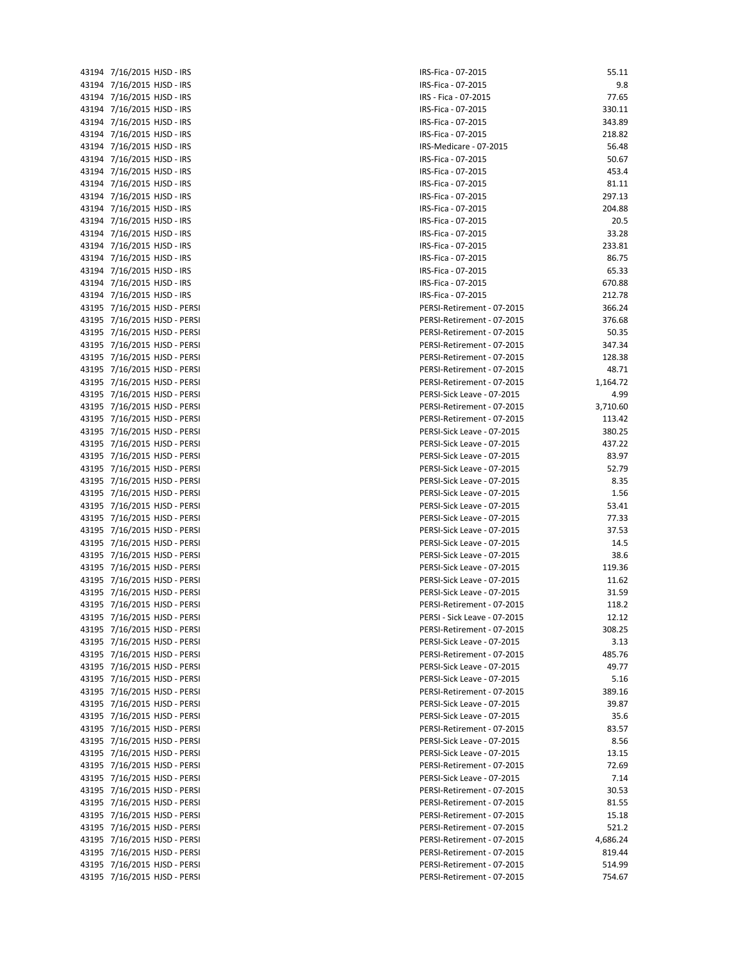| 43194 | 7/16/2015<br>HJSD - IRS          |
|-------|----------------------------------|
| 43194 | 7/16/2015<br>HJSD - IRS          |
| 43194 | 7/16/2015<br>HJSD - IRS          |
| 43194 | 7/16/2015<br>HJSD - IRS          |
|       |                                  |
| 43194 | 7/16/2015<br>HJSD - IRS          |
| 43194 | 7/16/2015<br>HJSD - IRS          |
| 43194 | HJSD - IRS<br>7/16/2015          |
| 43194 | 7/16/2015<br>HJSD - IRS          |
| 43194 | HJSD - IRS<br>7/16/2015          |
| 43194 | 7/16/2015<br>HJSD - IRS          |
|       | 7/16/2015                        |
| 43194 | HJSD - IRS                       |
| 43194 | 7/16/2015<br>HJSD - IRS          |
| 43194 | 7/16/2015<br>HJSD - IRS          |
| 43194 | HJSD - IRS<br>7/16/2015          |
| 43194 | 7/16/2015<br>HJSD - IRS          |
| 43194 | 7/16/2015<br>HJSD - IRS          |
| 43194 | 7/16/2015<br>HJSD - IRS          |
| 43194 | 7/16/2015<br>HJSD - IRS          |
|       |                                  |
| 43194 | HJSD - IRS<br>7/16/2015          |
| 43195 | HJSD - PERSI<br>7/16/2015        |
| 43195 | HJSD - PERSI<br>7/16/2015        |
| 43195 | 7/16/2015<br>HJSD - PERSI        |
| 43195 | 7/16/2015<br>HJSD - PERSI        |
| 43195 | HJSD - PERSI<br>7/16/2015        |
| 43195 | 7/16/2015<br>HJSD - PERSI        |
|       |                                  |
| 43195 | 7/16/2015<br>HJSD - PERSI        |
| 43195 | HJSD - PERSI<br>7/16/2015        |
| 43195 | HJSD - PERSI<br>7/16/2015        |
| 43195 | <b>HJSD - PERSI</b><br>7/16/2015 |
| 43195 | HJSD - PERSI<br>7/16/2015        |
| 43195 | HJSD - PERSI<br>7/16/2015        |
| 43195 | 7/16/2015<br>HJSD - PERSI        |
|       |                                  |
| 43195 | 7/16/2015<br>HJSD - PERSI        |
| 43195 | HJSD - PERSI<br>7/16/2015        |
| 43195 | 7/16/2015<br>HJSD - PERSI        |
| 43195 | 7/16/2015<br>HJSD - PERSI        |
| 43195 | HJSD - PERSI<br>7/16/2015        |
| 43195 | HJSD - PERSI<br>7/16/2015        |
| 43195 | HJSD - PERSI<br>7/16/2015        |
| 43195 | HJSD - PERSI<br>7/16/2015        |
|       |                                  |
| 43195 | HJSD - PERSI<br>7/16/2015        |
| 43195 | 7/16/2015<br>HJSD - PERSI        |
| 43195 | HJSD - PERSI<br>7/16/2015        |
| 43195 | HJSD - PERSI<br>7/16/2015        |
| 43195 | 7/16/2015<br>HJSD - PERSI        |
| 43195 | 7/16/2015<br>HJSD - PERSI        |
| 43195 | HJSD - PERSI<br>7/16/2015        |
| 43195 | HJSD - PERSI                     |
|       | 7/16/2015                        |
| 43195 | HJSD - PERSI<br>7/16/2015        |
| 43195 | HJSD - PERSI<br>7/16/2015        |
| 43195 | HJSD - PERSI<br>7/16/2015        |
| 43195 | HJSD - PERSI<br>7/16/2015        |
| 43195 | 7/16/2015<br>HJSD - PERSI        |
| 43195 | HJSD - PERSI<br>7/16/2015        |
| 43195 | 7/16/2015<br>HJSD - PERSI        |
|       |                                  |
| 43195 | HJSD - PERSI<br>7/16/2015        |
| 43195 | HJSD - PERSI<br>7/16/2015        |
| 43195 | HJSD - PERSI<br>7/16/2015        |
| 43195 | HJSD - PERSI<br>7/16/2015        |
| 43195 | 7/16/2015<br>HJSD - PERSI        |
| 43195 | HJSD - PERSI<br>7/16/2015        |
| 43195 | HJSD - PERSI<br>7/16/2015        |
| 43195 | 7/16/2015<br>HJSD - PERSI        |
|       |                                  |
| 43195 | HJSD - PERSI<br>7/16/2015        |
| 43195 | 7/16/2015<br>HJSD - PERSI        |
| 43195 | 7/16/2015<br>HJSD - PERSI        |

| 43194 7/16/2015 HJSD - IRS   | IRS-Fica - 07-2015           | 55.11    |
|------------------------------|------------------------------|----------|
| 43194 7/16/2015 HJSD - IRS   | IRS-Fica - 07-2015           | 9.8      |
| 43194 7/16/2015 HJSD - IRS   | IRS - Fica - 07-2015         | 77.65    |
| 43194 7/16/2015 HJSD - IRS   | IRS-Fica - 07-2015           | 330.11   |
| 43194 7/16/2015 HJSD - IRS   | IRS-Fica - 07-2015           | 343.89   |
| 43194 7/16/2015 HJSD - IRS   | IRS-Fica - 07-2015           | 218.82   |
|                              |                              |          |
| 43194 7/16/2015 HJSD - IRS   | IRS-Medicare - 07-2015       | 56.48    |
| 43194 7/16/2015 HJSD - IRS   | IRS-Fica - 07-2015           | 50.67    |
| 43194 7/16/2015 HJSD - IRS   | IRS-Fica - 07-2015           | 453.4    |
| 43194 7/16/2015 HJSD - IRS   | IRS-Fica - 07-2015           | 81.11    |
| 43194 7/16/2015 HJSD - IRS   | IRS-Fica - 07-2015           | 297.13   |
| 43194 7/16/2015 HJSD - IRS   | IRS-Fica - 07-2015           | 204.88   |
| 43194 7/16/2015 HJSD - IRS   | IRS-Fica - 07-2015           | 20.5     |
| 43194 7/16/2015 HJSD - IRS   | IRS-Fica - 07-2015           | 33.28    |
|                              |                              | 233.81   |
| 43194 7/16/2015 HJSD - IRS   | IRS-Fica - 07-2015           |          |
| 43194 7/16/2015 HJSD - IRS   | IRS-Fica - 07-2015           | 86.75    |
| 43194 7/16/2015 HJSD - IRS   | IRS-Fica - 07-2015           | 65.33    |
| 43194 7/16/2015 HJSD - IRS   | IRS-Fica - 07-2015           | 670.88   |
| 43194 7/16/2015 HJSD - IRS   | IRS-Fica - 07-2015           | 212.78   |
| 43195 7/16/2015 HJSD - PERSI | PERSI-Retirement - 07-2015   | 366.24   |
| 43195 7/16/2015 HJSD - PERSI | PERSI-Retirement - 07-2015   | 376.68   |
| 43195 7/16/2015 HJSD - PERSI | PERSI-Retirement - 07-2015   | 50.35    |
| 43195 7/16/2015 HJSD - PERSI | PERSI-Retirement - 07-2015   | 347.34   |
| 43195 7/16/2015 HJSD - PERSI | PERSI-Retirement - 07-2015   | 128.38   |
|                              |                              | 48.71    |
| 43195 7/16/2015 HJSD - PERSI | PERSI-Retirement - 07-2015   |          |
| 43195 7/16/2015 HJSD - PERSI | PERSI-Retirement - 07-2015   | 1,164.72 |
| 43195 7/16/2015 HJSD - PERSI | PERSI-Sick Leave - 07-2015   | 4.99     |
| 43195 7/16/2015 HJSD - PERSI | PERSI-Retirement - 07-2015   | 3,710.60 |
| 43195 7/16/2015 HJSD - PERSI | PERSI-Retirement - 07-2015   | 113.42   |
| 43195 7/16/2015 HJSD - PERSI | PERSI-Sick Leave - 07-2015   | 380.25   |
| 43195 7/16/2015 HJSD - PERSI | PERSI-Sick Leave - 07-2015   | 437.22   |
| 43195 7/16/2015 HJSD - PERSI | PERSI-Sick Leave - 07-2015   | 83.97    |
| 43195 7/16/2015 HJSD - PERSI | PERSI-Sick Leave - 07-2015   | 52.79    |
| 43195 7/16/2015 HJSD - PERSI | PERSI-Sick Leave - 07-2015   | 8.35     |
| 43195 7/16/2015 HJSD - PERSI | PERSI-Sick Leave - 07-2015   | 1.56     |
| 43195 7/16/2015 HJSD - PERSI | PERSI-Sick Leave - 07-2015   | 53.41    |
|                              |                              |          |
| 43195 7/16/2015 HJSD - PERSI | PERSI-Sick Leave - 07-2015   | 77.33    |
| 43195 7/16/2015 HJSD - PERSI | PERSI-Sick Leave - 07-2015   | 37.53    |
| 43195 7/16/2015 HJSD - PERSI | PERSI-Sick Leave - 07-2015   | 14.5     |
| 43195 7/16/2015 HJSD - PERSI | PERSI-Sick Leave - 07-2015   | 38.6     |
| 43195 7/16/2015 HJSD - PERSI | PERSI-Sick Leave - 07-2015   | 119.36   |
| 43195 7/16/2015 HJSD - PERSI | PERSI-Sick Leave - 07-2015   | 11.62    |
| 43195 7/16/2015 HJSD - PERSI | PERSI-Sick Leave - 07-2015   | 31.59    |
| 43195 7/16/2015 HJSD - PERSI | PERSI-Retirement - 07-2015   | 118.2    |
| 43195 7/16/2015 HJSD - PERSI | PERSI - Sick Leave - 07-2015 | 12.12    |
| 43195 7/16/2015 HJSD - PERSI | PERSI-Retirement - 07-2015   | 308.25   |
| 43195 7/16/2015 HJSD - PERSI | PERSI-Sick Leave - 07-2015   | 3.13     |
|                              |                              |          |
| 43195 7/16/2015 HJSD - PERSI | PERSI-Retirement - 07-2015   | 485.76   |
| 43195 7/16/2015 HJSD - PERSI | PERSI-Sick Leave - 07-2015   | 49.77    |
| 43195 7/16/2015 HJSD - PERSI | PERSI-Sick Leave - 07-2015   | 5.16     |
| 43195 7/16/2015 HJSD - PERSI | PERSI-Retirement - 07-2015   | 389.16   |
| 43195 7/16/2015 HJSD - PERSI | PERSI-Sick Leave - 07-2015   | 39.87    |
| 43195 7/16/2015 HJSD - PERSI | PERSI-Sick Leave - 07-2015   | 35.6     |
| 43195 7/16/2015 HJSD - PERSI | PERSI-Retirement - 07-2015   | 83.57    |
| 43195 7/16/2015 HJSD - PERSI | PERSI-Sick Leave - 07-2015   | 8.56     |
| 43195 7/16/2015 HJSD - PERSI | PERSI-Sick Leave - 07-2015   | 13.15    |
|                              | PERSI-Retirement - 07-2015   |          |
| 43195 7/16/2015 HJSD - PERSI |                              | 72.69    |
| 43195 7/16/2015 HJSD - PERSI | PERSI-Sick Leave - 07-2015   | 7.14     |
| 43195 7/16/2015 HJSD - PERSI | PERSI-Retirement - 07-2015   | 30.53    |
| 43195 7/16/2015 HJSD - PERSI | PERSI-Retirement - 07-2015   | 81.55    |
| 43195 7/16/2015 HJSD - PERSI | PERSI-Retirement - 07-2015   | 15.18    |
| 43195 7/16/2015 HJSD - PERSI | PERSI-Retirement - 07-2015   | 521.2    |
| 43195 7/16/2015 HJSD - PERSI | PERSI-Retirement - 07-2015   | 4,686.24 |
| 43195 7/16/2015 HJSD - PERSI | PERSI-Retirement - 07-2015   | 819.44   |
| 43195 7/16/2015 HJSD - PERSI | PERSI-Retirement - 07-2015   | 514.99   |
| 43195 7/16/2015 HJSD - PERSI | PERSI-Retirement - 07-2015   | 754.67   |
|                              |                              |          |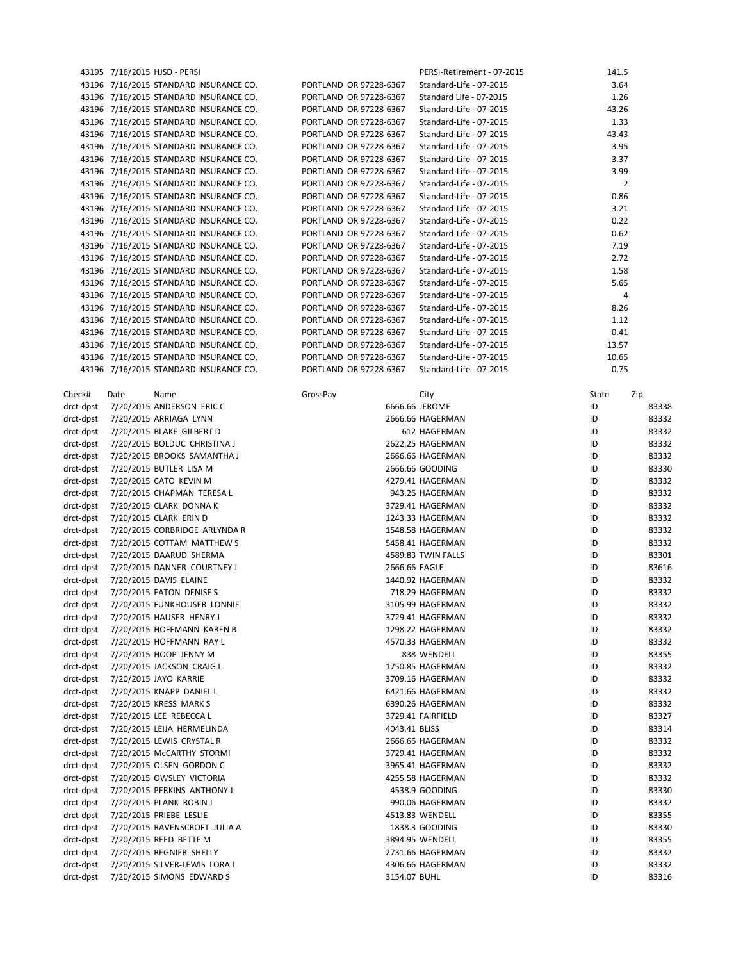|           |      | 43195 7/16/2015 HJSD - PERSI           |                        | PERSI-Retirement - 07-2015 | 141.5          |       |
|-----------|------|----------------------------------------|------------------------|----------------------------|----------------|-------|
|           |      | 43196 7/16/2015 STANDARD INSURANCE CO. | PORTLAND OR 97228-6367 | Standard-Life - 07-2015    | 3.64           |       |
|           |      | 43196 7/16/2015 STANDARD INSURANCE CO. | PORTLAND OR 97228-6367 | Standard Life - 07-2015    | 1.26           |       |
|           |      | 43196 7/16/2015 STANDARD INSURANCE CO. | PORTLAND OR 97228-6367 | Standard-Life - 07-2015    | 43.26          |       |
|           |      | 43196 7/16/2015 STANDARD INSURANCE CO. | PORTLAND OR 97228-6367 | Standard-Life - 07-2015    | 1.33           |       |
|           |      | 43196 7/16/2015 STANDARD INSURANCE CO. | PORTLAND OR 97228-6367 | Standard-Life - 07-2015    | 43.43          |       |
|           |      | 43196 7/16/2015 STANDARD INSURANCE CO. | PORTLAND OR 97228-6367 | Standard-Life - 07-2015    | 3.95           |       |
|           |      | 43196 7/16/2015 STANDARD INSURANCE CO. | PORTLAND OR 97228-6367 | Standard-Life - 07-2015    | 3.37           |       |
|           |      | 43196 7/16/2015 STANDARD INSURANCE CO. | PORTLAND OR 97228-6367 | Standard-Life - 07-2015    | 3.99           |       |
|           |      | 43196 7/16/2015 STANDARD INSURANCE CO. | PORTLAND OR 97228-6367 | Standard-Life - 07-2015    | $\overline{2}$ |       |
|           |      | 43196 7/16/2015 STANDARD INSURANCE CO. | PORTLAND OR 97228-6367 | Standard-Life - 07-2015    | 0.86           |       |
|           |      | 43196 7/16/2015 STANDARD INSURANCE CO. | PORTLAND OR 97228-6367 | Standard-Life - 07-2015    | 3.21           |       |
|           |      | 43196 7/16/2015 STANDARD INSURANCE CO. | PORTLAND OR 97228-6367 | Standard-Life - 07-2015    | 0.22           |       |
|           |      | 43196 7/16/2015 STANDARD INSURANCE CO. | PORTLAND OR 97228-6367 | Standard-Life - 07-2015    | 0.62           |       |
|           |      | 43196 7/16/2015 STANDARD INSURANCE CO. | PORTLAND OR 97228-6367 | Standard-Life - 07-2015    | 7.19           |       |
|           |      | 43196 7/16/2015 STANDARD INSURANCE CO. | PORTLAND OR 97228-6367 | Standard-Life - 07-2015    | 2.72           |       |
|           |      | 43196 7/16/2015 STANDARD INSURANCE CO. | PORTLAND OR 97228-6367 | Standard-Life - 07-2015    | 1.58           |       |
|           |      | 43196 7/16/2015 STANDARD INSURANCE CO. | PORTLAND OR 97228-6367 | Standard-Life - 07-2015    | 5.65           |       |
|           |      | 43196 7/16/2015 STANDARD INSURANCE CO. | PORTLAND OR 97228-6367 | Standard-Life - 07-2015    | 4              |       |
|           |      | 43196 7/16/2015 STANDARD INSURANCE CO. | PORTLAND OR 97228-6367 | Standard-Life - 07-2015    | 8.26           |       |
|           |      | 43196 7/16/2015 STANDARD INSURANCE CO. | PORTLAND OR 97228-6367 | Standard-Life - 07-2015    | 1.12           |       |
|           |      | 43196 7/16/2015 STANDARD INSURANCE CO. | PORTLAND OR 97228-6367 | Standard-Life - 07-2015    | 0.41           |       |
|           |      | 43196 7/16/2015 STANDARD INSURANCE CO. | PORTLAND OR 97228-6367 | Standard-Life - 07-2015    | 13.57          |       |
|           |      | 43196 7/16/2015 STANDARD INSURANCE CO. | PORTLAND OR 97228-6367 | Standard-Life - 07-2015    | 10.65          |       |
|           |      | 43196 7/16/2015 STANDARD INSURANCE CO. | PORTLAND OR 97228-6367 | Standard-Life - 07-2015    | 0.75           |       |
|           |      |                                        |                        |                            |                |       |
| Check#    | Date | Name                                   | GrossPay               | City                       | State          | Zip   |
| drct-dpst |      | 7/20/2015 ANDERSON ERIC C              |                        | 6666.66 JEROME             | ID             | 83338 |
| drct-dpst |      | 7/20/2015 ARRIAGA LYNN                 |                        | 2666.66 HAGERMAN           | ID             | 83332 |
| drct-dpst |      | 7/20/2015 BLAKE GILBERT D              |                        | 612 HAGERMAN               | ID             | 83332 |
| drct-dpst |      | 7/20/2015 BOLDUC CHRISTINA J           |                        | 2622.25 HAGERMAN           | ID             | 83332 |
| drct-dpst |      | 7/20/2015 BROOKS SAMANTHA J            |                        | 2666.66 HAGERMAN           | ID             | 83332 |
| drct-dpst |      | 7/20/2015 BUTLER LISA M                |                        | 2666.66 GOODING            | ID             | 83330 |
| drct-dpst |      | 7/20/2015 CATO KEVIN M                 |                        | 4279.41 HAGERMAN           | ID             | 83332 |
| drct-dpst |      | 7/20/2015 CHAPMAN TERESA L             |                        | 943.26 HAGERMAN            | ID             | 83332 |
| drct-dpst |      |                                        |                        |                            | ID             | 83332 |
|           |      | 7/20/2015 CLARK DONNA K                |                        | 3729.41 HAGERMAN           | ID             |       |
| drct-dpst |      | 7/20/2015 CLARK ERIN D                 |                        | 1243.33 HAGERMAN           |                | 83332 |
| drct-dpst |      | 7/20/2015 CORBRIDGE ARLYNDA R          |                        | 1548.58 HAGERMAN           | ID             | 83332 |
| drct-dpst |      | 7/20/2015 COTTAM MATTHEW S             |                        | 5458.41 HAGERMAN           | ID             | 83332 |
| drct-dpst |      | 7/20/2015 DAARUD SHERMA                |                        | 4589.83 TWIN FALLS         | ID             | 83301 |
| drct-dpst |      | 7/20/2015 DANNER COURTNEY J            |                        | 2666.66 EAGLE              | ID             | 83616 |
| drct-dpst |      | 7/20/2015 DAVIS ELAINE                 |                        | 1440.92 HAGERMAN           | ID             | 83332 |
| drct-dpst |      | 7/20/2015 EATON DENISE S               |                        | 718.29 HAGERMAN            | ID             | 83332 |
| drct-dpst |      | 7/20/2015 FUNKHOUSER LONNIE            |                        | 3105.99 HAGERMAN           | ID             | 83332 |
| drct-dpst |      | 7/20/2015 HAUSER HENRY J               |                        | 3729.41 HAGERMAN           | ID             | 83332 |
| drct-dpst |      | 7/20/2015 HOFFMANN KAREN B             |                        | 1298.22 HAGERMAN           | ID             | 83332 |
| drct-dpst |      | 7/20/2015 HOFFMANN RAY L               |                        | 4570.33 HAGERMAN           | ID             | 83332 |
| drct-dpst |      | 7/20/2015 HOOP JENNY M                 |                        | 838 WENDELL                | ID             | 83355 |
| drct-dpst |      | 7/20/2015 JACKSON CRAIG L              |                        | 1750.85 HAGERMAN           | ID             | 83332 |
| drct-dpst |      | 7/20/2015 JAYO KARRIE                  |                        | 3709.16 HAGERMAN           | ID             | 83332 |
| drct-dpst |      | 7/20/2015 KNAPP DANIEL L               |                        | 6421.66 HAGERMAN           | ID             | 83332 |
| drct-dpst |      | 7/20/2015 KRESS MARK S                 |                        | 6390.26 HAGERMAN           | ID             | 83332 |
| drct-dpst |      | 7/20/2015 LEE REBECCA L                |                        | 3729.41 FAIRFIELD          | ID             | 83327 |
| drct-dpst |      | 7/20/2015 LEIJA HERMELINDA             | 4043.41 BLISS          |                            | ID             | 83314 |
| drct-dpst |      | 7/20/2015 LEWIS CRYSTAL R              |                        | 2666.66 HAGERMAN           | ID             | 83332 |
| drct-dpst |      | 7/20/2015 McCARTHY STORMI              |                        | 3729.41 HAGERMAN           | ID             | 83332 |
| drct-dpst |      | 7/20/2015 OLSEN GORDON C               |                        | 3965.41 HAGERMAN           | ID             | 83332 |
| drct-dpst |      | 7/20/2015 OWSLEY VICTORIA              |                        | 4255.58 HAGERMAN           | ID             | 83332 |
| drct-dpst |      | 7/20/2015 PERKINS ANTHONY J            |                        | 4538.9 GOODING             | ID             | 83330 |
| drct-dpst |      | 7/20/2015 PLANK ROBIN J                |                        | 990.06 HAGERMAN            | ID             | 83332 |
| drct-dpst |      | 7/20/2015 PRIEBE LESLIE                |                        | 4513.83 WENDELL            | ID             | 83355 |
| drct-dpst |      | 7/20/2015 RAVENSCROFT JULIA A          |                        | 1838.3 GOODING             | ID             | 83330 |
| drct-dpst |      | 7/20/2015 REED BETTE M                 |                        | 3894.95 WENDELL            | ID             | 83355 |
| drct-dpst |      | 7/20/2015 REGNIER SHELLY               |                        | 2731.66 HAGERMAN           | ID             | 83332 |
| drct-dpst |      | 7/20/2015 SILVER-LEWIS LORA L          |                        | 4306.66 HAGERMAN           | ID             | 83332 |
| drct-dpst |      | 7/20/2015 SIMONS EDWARD S              | 3154.07 BUHL           |                            | ID             | 83316 |
|           |      |                                        |                        |                            |                |       |